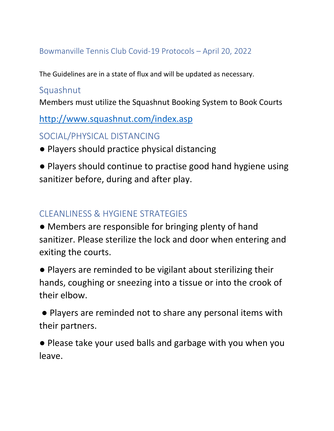## Bowmanville Tennis Club Covid-19 Protocols – April 20, 2022

The Guidelines are in a state of flux and will be updated as necessary.

## Squashnut

Members must utilize the Squashnut Booking System to Book Courts

<http://www.squashnut.com/index.asp>

SOCIAL/PHYSICAL DISTANCING

● Players should practice physical distancing

● Players should continue to practise good hand hygiene using sanitizer before, during and after play.

## CLEANLINESS & HYGIENE STRATEGIES

● Members are responsible for bringing plenty of hand sanitizer. Please sterilize the lock and door when entering and exiting the courts.

● Players are reminded to be vigilant about sterilizing their hands, coughing or sneezing into a tissue or into the crook of their elbow.

● Players are reminded not to share any personal items with their partners.

● Please take your used balls and garbage with you when you leave.